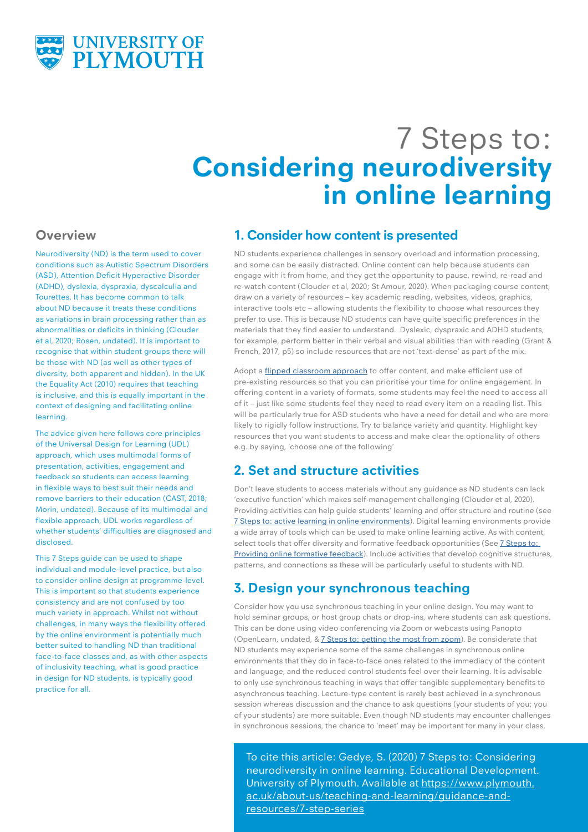

# 7 Steps to: **Considering neurodiversity in online learning**

#### **Overview**

Neurodiversity (ND) is the term used to cover conditions such as Autistic Spectrum Disorders (ASD), Attention Deficit Hyperactive Disorder (ADHD), dyslexia, dyspraxia, dyscalculia and Tourettes. It has become common to talk about ND because it treats these conditions as variations in brain processing rather than as abnormalities or deficits in thinking (Clouder et al, 2020; Rosen, undated). It is important to recognise that within student groups there will be those with ND (as well as other types of diversity, both apparent and hidden). In the UK the Equality Act (2010) requires that teaching is inclusive, and this is equally important in the context of designing and facilitating online learning.

The advice given here follows core principles of the Universal Design for Learning (UDL) approach, which uses multimodal forms of presentation, activities, engagement and feedback so students can access learning in flexible ways to best suit their needs and remove barriers to their education (CAST, 2018; Morin, undated). Because of its multimodal and flexible approach, UDL works regardless of whether students' difficulties are diagnosed and disclosed.

This 7 Steps guide can be used to shape individual and module-level practice, but also to consider online design at programme-level. This is important so that students experience consistency and are not confused by too much variety in approach. Whilst not without challenges, in many ways the flexibility offered by the online environment is potentially much better suited to handling ND than traditional face-to-face classes and, as with other aspects of inclusivity teaching, what is good practice in design for ND students, is typically good practice for all.

#### **1. Consider how content is presented**

ND students experience challenges in sensory overload and information processing, and some can be easily distracted. Online content can help because students can engage with it from home, and they get the opportunity to pause, rewind, re-read and re-watch content (Clouder et al, 2020; St Amour, 2020). When packaging course content, draw on a variety of resources – key academic reading, websites, videos, graphics, interactive tools etc – allowing students the flexibility to choose what resources they prefer to use. This is because ND students can have quite specific preferences in the materials that they find easier to understand. Dyslexic, dyspraxic and ADHD students, for example, perform better in their verbal and visual abilities than with reading (Grant & French, 2017, p5) so include resources that are not 'text-dense' as part of the mix.

Adopt a [flipped classroom approach](https://www.plymouth.ac.uk/about-us/teaching-and-learning/guidance-and-resources/7-step-series) to offer content, and make efficient use of pre-existing resources so that you can prioritise your time for online engagement. In offering content in a variety of formats, some students may feel the need to access all of it – just like some students feel they need to read every item on a reading list. This will be particularly true for ASD students who have a need for detail and who are more likely to rigidly follow instructions. Try to balance variety and quantity. Highlight key resources that you want students to access and make clear the optionality of others e.g. by saying, 'choose one of the following'

## **2. Set and structure activities**

Don't leave students to access materials without any guidance as ND students can lack 'executive function' which makes self-management challenging (Clouder et al, 2020). Providing activities can help guide students' learning and offer structure and routine (see [7 Steps to: active learning in online environments](https://www.plymouth.ac.uk/about-us/teaching-and-learning/guidance-and-resources/7-step-series)). Digital learning environments provide a wide array of tools which can be used to make online learning active. As with content, select tools that offer diversity and formative feedback opportunities (See [7 Steps to:](https://www.plymouth.ac.uk/about-us/teaching-and-learning/guidance-and-resources/7-step-series)  [Providing online formative feedback\)](https://www.plymouth.ac.uk/about-us/teaching-and-learning/guidance-and-resources/7-step-series). Include activities that develop cognitive structures, patterns, and connections as these will be particularly useful to students with ND.

## **3. Design your synchronous teaching**

Consider how you use synchronous teaching in your online design. You may want to hold seminar groups, or host group chats or drop-ins, where students can ask questions. This can be done using video conferencing via Zoom or webcasts using Panopto (OpenLearn, undated, & [7 Steps to: getting the most from zoom\)](https://www.plymouth.ac.uk/about-us/teaching-and-learning/guidance-and-resources/7-step-series). Be considerate that ND students may experience some of the same challenges in synchronous online environments that they do in face-to-face ones related to the immediacy of the content and language, and the reduced control students feel over their learning. It is advisable to only use synchronous teaching in ways that offer tangible supplementary benefits to asynchronous teaching. Lecture-type content is rarely best achieved in a synchronous session whereas discussion and the chance to ask questions (your students of you; you of your students) are more suitable. Even though ND students may encounter challenges in synchronous sessions, the chance to 'meet' may be important for many in your class,

To cite this article: Gedye, S. (2020) 7 Steps to: Considering neurodiversity in online learning. Educational Development. University of Plymouth. Available at [https://www.plymouth.](https://www.plymouth.ac.uk/about-us/teaching-and-learning/guidance-and-resources/7-step-series) [ac.uk/about-us/teaching-and-learning/guidance-and](https://www.plymouth.ac.uk/about-us/teaching-and-learning/guidance-and-resources/7-step-series)[resources/7-step-series](https://www.plymouth.ac.uk/about-us/teaching-and-learning/guidance-and-resources/7-step-series)